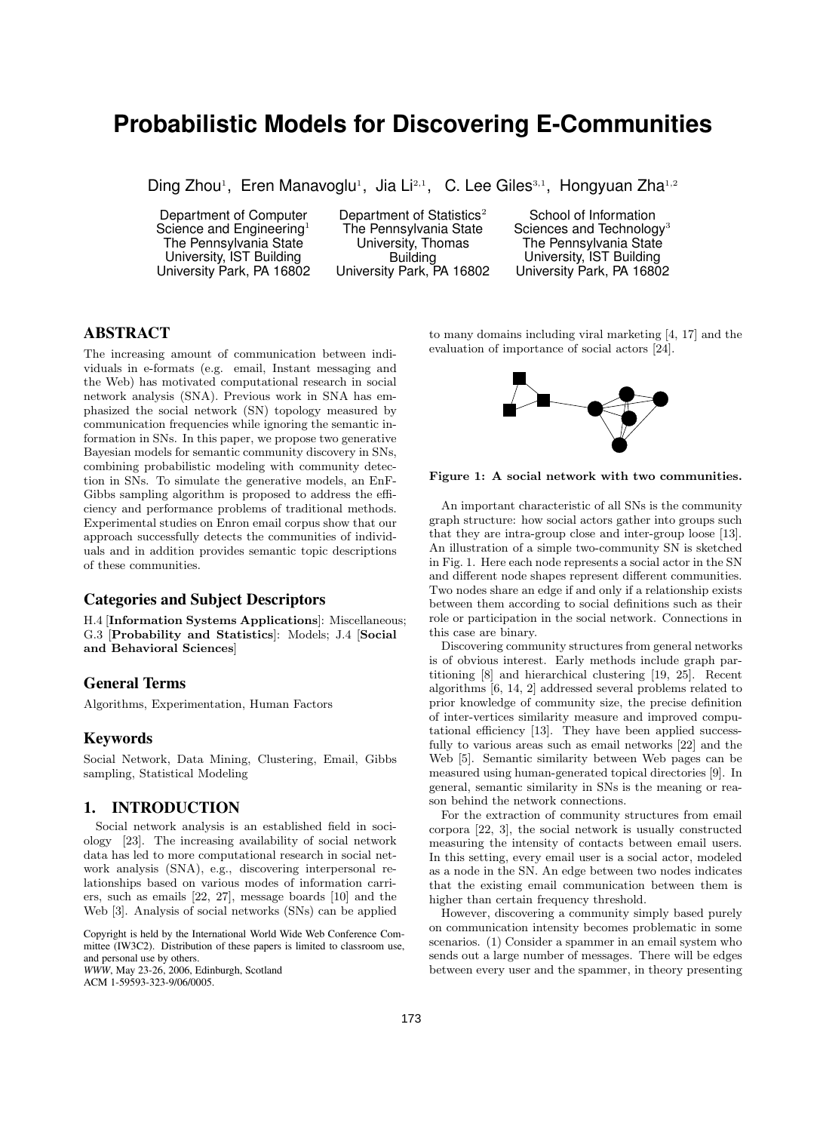# **Probabilistic Models for Discovering E-Communities**

Ding Zhou<sup>1</sup>, Eren Manavoglu<sup>1</sup>, Jia Li<sup>2,1</sup>, C. Lee Giles<sup>3,1</sup>, Hongyuan Zha<sup>1,2</sup>

Department of Computer Science and Engineering $1$ The Pennsylvania State University, IST Building University Park, PA 16802

Department of Statistics<sup>2</sup> The Pennsylvania State University, Thomas **Building** University Park, PA 16802

School of Information Sciences and Technology $3$ The Pennsylvania State University, IST Building University Park, PA 16802

# **ABSTRACT**

The increasing amount of communication between individuals in e-formats (e.g. email, Instant messaging and the Web) has motivated computational research in social network analysis (SNA). Previous work in SNA has emphasized the social network (SN) topology measured by communication frequencies while ignoring the semantic information in SNs. In this paper, we propose two generative Bayesian models for semantic community discovery in SNs, combining probabilistic modeling with community detection in SNs. To simulate the generative models, an EnF-Gibbs sampling algorithm is proposed to address the efficiency and performance problems of traditional methods. Experimental studies on Enron email corpus show that our approach successfully detects the communities of individuals and in addition provides semantic topic descriptions of these communities.

# **Categories and Subject Descriptors**

H.4 [Information Systems Applications]: Miscellaneous; G.3 [Probability and Statistics]: Models; J.4 [Social and Behavioral Sciences]

# **General Terms**

Algorithms, Experimentation, Human Factors

#### **Keywords**

Social Network, Data Mining, Clustering, Email, Gibbs sampling, Statistical Modeling

# **1. INTRODUCTION**

Social network analysis is an established field in sociology [23]. The increasing availability of social network data has led to more computational research in social network analysis (SNA), e.g., discovering interpersonal relationships based on various modes of information carriers, such as emails [22, 27], message boards [10] and the Web [3]. Analysis of social networks (SNs) can be applied

Copyright is held by the International World Wide Web Conference Committee (IW3C2). Distribution of these papers is limited to classroom use, and personal use by others. *WWW*, May 23-26, 2006, Edinburgh, Scotland

ACM 1-59593-323-9/06/0005.

to many domains including viral marketing [4, 17] and the evaluation of importance of social actors [24].



Figure 1: A social network with two communities.

An important characteristic of all SNs is the community graph structure: how social actors gather into groups such that they are intra-group close and inter-group loose [13]. An illustration of a simple two-community SN is sketched in Fig. 1. Here each node represents a social actor in the SN and different node shapes represent different communities. Two nodes share an edge if and only if a relationship exists between them according to social definitions such as their role or participation in the social network. Connections in this case are binary.

Discovering community structures from general networks is of obvious interest. Early methods include graph partitioning [8] and hierarchical clustering [19, 25]. Recent algorithms [6, 14, 2] addressed several problems related to prior knowledge of community size, the precise definition of inter-vertices similarity measure and improved computational efficiency [13]. They have been applied successfully to various areas such as email networks [22] and the Web [5]. Semantic similarity between Web pages can be measured using human-generated topical directories [9]. In general, semantic similarity in SNs is the meaning or reason behind the network connections.

For the extraction of community structures from email corpora [22, 3], the social network is usually constructed measuring the intensity of contacts between email users. In this setting, every email user is a social actor, modeled as a node in the SN. An edge between two nodes indicates that the existing email communication between them is higher than certain frequency threshold.

However, discovering a community simply based purely on communication intensity becomes problematic in some scenarios. (1) Consider a spammer in an email system who sends out a large number of messages. There will be edges between every user and the spammer, in theory presenting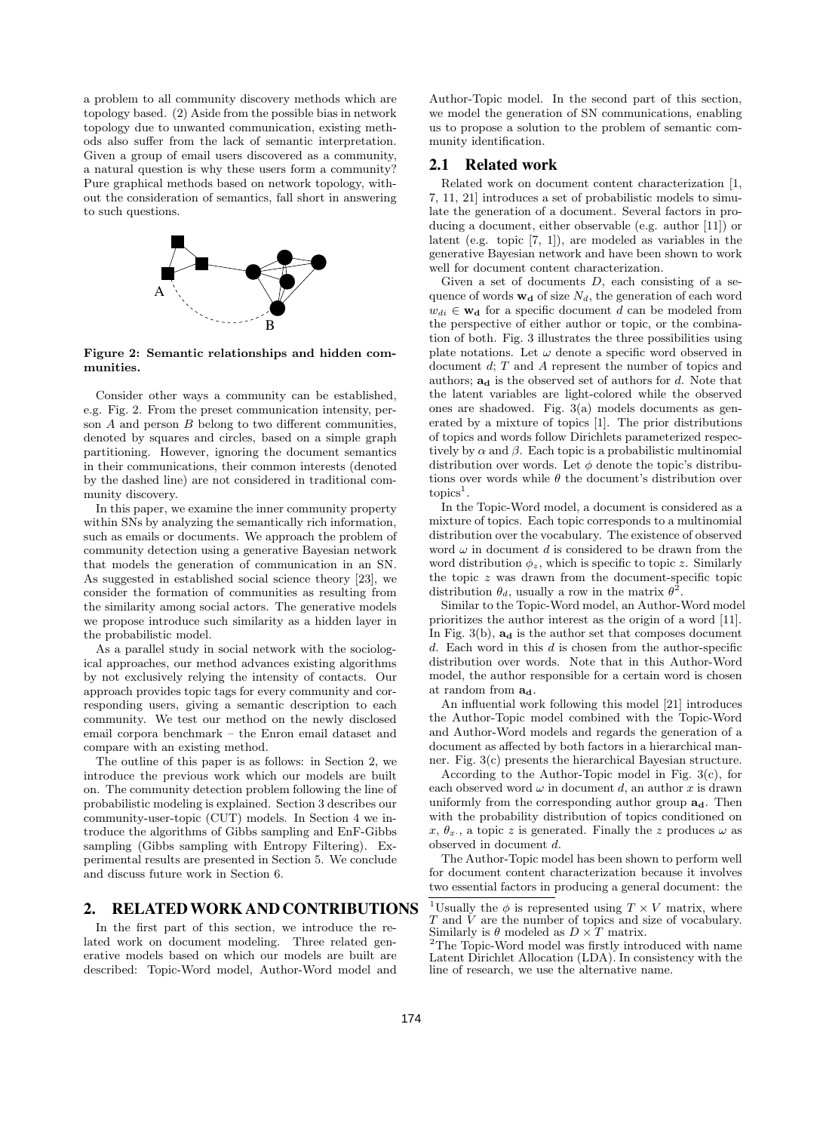a problem to all community discovery methods which are topology based. (2) Aside from the possible bias in network topology due to unwanted communication, existing methods also suffer from the lack of semantic interpretation. Given a group of email users discovered as a community, a natural question is why these users form a community? Pure graphical methods based on network topology, without the consideration of semantics, fall short in answering to such questions.



Figure 2: Semantic relationships and hidden communities.

Consider other ways a community can be established, e.g. Fig. 2. From the preset communication intensity, person  $A$  and person  $B$  belong to two different communities, denoted by squares and circles, based on a simple graph partitioning. However, ignoring the document semantics in their communications, their common interests (denoted by the dashed line) are not considered in traditional community discovery.

In this paper, we examine the inner community property within SNs by analyzing the semantically rich information, such as emails or documents. We approach the problem of community detection using a generative Bayesian network that models the generation of communication in an SN. As suggested in established social science theory [23], we consider the formation of communities as resulting from the similarity among social actors. The generative models we propose introduce such similarity as a hidden layer in the probabilistic model.

As a parallel study in social network with the sociological approaches, our method advances existing algorithms by not exclusively relying the intensity of contacts. Our approach provides topic tags for every community and corresponding users, giving a semantic description to each community. We test our method on the newly disclosed email corpora benchmark – the Enron email dataset and compare with an existing method.

The outline of this paper is as follows: in Section 2, we introduce the previous work which our models are built on. The community detection problem following the line of probabilistic modeling is explained. Section 3 describes our community-user-topic (CUT) models. In Section 4 we introduce the algorithms of Gibbs sampling and EnF-Gibbs sampling (Gibbs sampling with Entropy Filtering). Experimental results are presented in Section 5. We conclude and discuss future work in Section 6.

# **2. RELATEDWORKAND CONTRIBUTIONS**

In the first part of this section, we introduce the related work on document modeling. Three related generative models based on which our models are built are described: Topic-Word model, Author-Word model and

Author-Topic model. In the second part of this section, we model the generation of SN communications, enabling us to propose a solution to the problem of semantic community identification.

### **2.1 Related work**

Related work on document content characterization [1, 7, 11, 21] introduces a set of probabilistic models to simulate the generation of a document. Several factors in producing a document, either observable (e.g. author [11]) or latent (e.g. topic [7, 1]), are modeled as variables in the generative Bayesian network and have been shown to work well for document content characterization.

Given a set of documents  $D$ , each consisting of a sequence of words  $\mathbf{w}_d$  of size  $N_d$ , the generation of each word  $w_{di} \in \mathbf{w}_d$  for a specific document d can be modeled from the perspective of either author or topic, or the combination of both. Fig. 3 illustrates the three possibilities using plate notations. Let  $\omega$  denote a specific word observed in document d; T and A represent the number of topics and authors;  $a_d$  is the observed set of authors for d. Note that the latent variables are light-colored while the observed ones are shadowed. Fig. 3(a) models documents as generated by a mixture of topics [1]. The prior distributions of topics and words follow Dirichlets parameterized respectively by  $\alpha$  and  $\beta$ . Each topic is a probabilistic multinomial distribution over words. Let  $\phi$  denote the topic's distributions over words while  $\theta$  the document's distribution over  $topics<sup>1</sup>$ .

In the Topic-Word model, a document is considered as a mixture of topics. Each topic corresponds to a multinomial distribution over the vocabulary. The existence of observed word  $\omega$  in document d is considered to be drawn from the word distribution  $\phi_z$ , which is specific to topic z. Similarly the topic  $z$  was drawn from the document-specific topic distribution  $\theta_d$ , usually a row in the matrix  $\theta^2$ .

Similar to the Topic-Word model, an Author-Word model prioritizes the author interest as the origin of a word [11]. In Fig. 3(b),  $a_d$  is the author set that composes document  $d$ . Each word in this  $d$  is chosen from the author-specific distribution over words. Note that in this Author-Word model, the author responsible for a certain word is chosen at random from  $a_d$ .

An influential work following this model [21] introduces the Author-Topic model combined with the Topic-Word and Author-Word models and regards the generation of a document as affected by both factors in a hierarchical manner. Fig. 3(c) presents the hierarchical Bayesian structure.

According to the Author-Topic model in Fig. 3(c), for each observed word  $\omega$  in document d, an author x is drawn uniformly from the corresponding author group  $a_d$ . Then with the probability distribution of topics conditioned on  $x, \theta_x$ , a topic z is generated. Finally the z produces  $\omega$  as observed in document d.

The Author-Topic model has been shown to perform well for document content characterization because it involves two essential factors in producing a general document: the

<sup>&</sup>lt;sup>1</sup>Usually the  $\phi$  is represented using  $T \times V$  matrix, where  $T$  and  $\dot{V}$  are the number of topics and size of vocabulary. Similarly is  $\theta$  modeled as  $D \times T$  matrix.

 $2$ The Topic-Word model was firstly introduced with name Latent Dirichlet Allocation (LDA). In consistency with the line of research, we use the alternative name.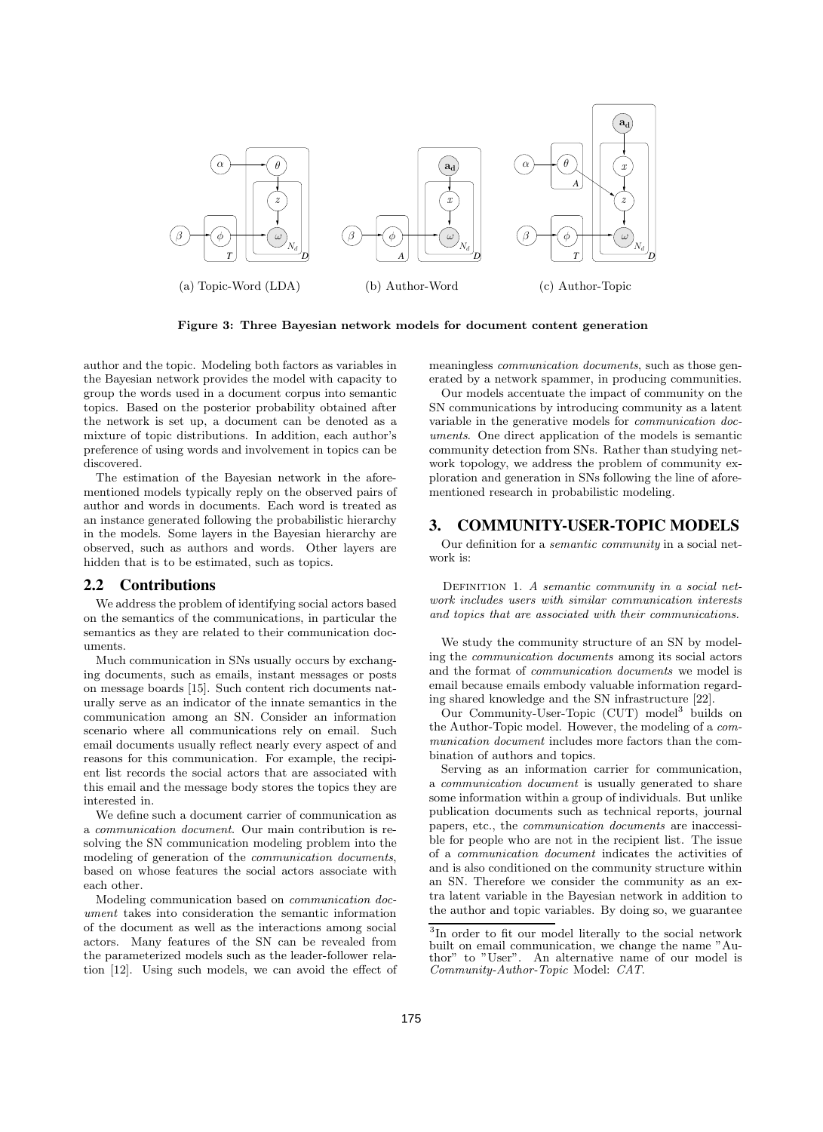

Figure 3: Three Bayesian network models for document content generation

author and the topic. Modeling both factors as variables in the Bayesian network provides the model with capacity to group the words used in a document corpus into semantic topics. Based on the posterior probability obtained after the network is set up, a document can be denoted as a mixture of topic distributions. In addition, each author's preference of using words and involvement in topics can be discovered.

The estimation of the Bayesian network in the aforementioned models typically reply on the observed pairs of author and words in documents. Each word is treated as an instance generated following the probabilistic hierarchy in the models. Some layers in the Bayesian hierarchy are observed, such as authors and words. Other layers are hidden that is to be estimated, such as topics.

#### **2.2 Contributions**

We address the problem of identifying social actors based on the semantics of the communications, in particular the semantics as they are related to their communication documents.

Much communication in SNs usually occurs by exchanging documents, such as emails, instant messages or posts on message boards [15]. Such content rich documents naturally serve as an indicator of the innate semantics in the communication among an SN. Consider an information scenario where all communications rely on email. Such email documents usually reflect nearly every aspect of and reasons for this communication. For example, the recipient list records the social actors that are associated with this email and the message body stores the topics they are interested in.

We define such a document carrier of communication as a communication document. Our main contribution is resolving the SN communication modeling problem into the modeling of generation of the communication documents, based on whose features the social actors associate with each other.

Modeling communication based on communication document takes into consideration the semantic information of the document as well as the interactions among social actors. Many features of the SN can be revealed from the parameterized models such as the leader-follower relation [12]. Using such models, we can avoid the effect of meaningless communication documents, such as those generated by a network spammer, in producing communities.

Our models accentuate the impact of community on the SN communications by introducing community as a latent variable in the generative models for communication documents. One direct application of the models is semantic community detection from SNs. Rather than studying network topology, we address the problem of community exploration and generation in SNs following the line of aforementioned research in probabilistic modeling.

### **3. COMMUNITY-USER-TOPIC MODELS**

Our definition for a semantic community in a social network is:

DEFINITION 1. A semantic community in a social network includes users with similar communication interests and topics that are associated with their communications.

We study the community structure of an SN by modeling the communication documents among its social actors and the format of communication documents we model is email because emails embody valuable information regarding shared knowledge and the SN infrastructure [22].

Our Community-User-Topic (CUT) model<sup>3</sup> builds on the Author-Topic model. However, the modeling of a communication document includes more factors than the combination of authors and topics.

Serving as an information carrier for communication, a communication document is usually generated to share some information within a group of individuals. But unlike publication documents such as technical reports, journal papers, etc., the communication documents are inaccessible for people who are not in the recipient list. The issue of a communication document indicates the activities of and is also conditioned on the community structure within an SN. Therefore we consider the community as an extra latent variable in the Bayesian network in addition to the author and topic variables. By doing so, we guarantee

<sup>3</sup> In order to fit our model literally to the social network built on email communication, we change the name "Author" to "User". An alternative name of our model is Community-Author-Topic Model: CAT.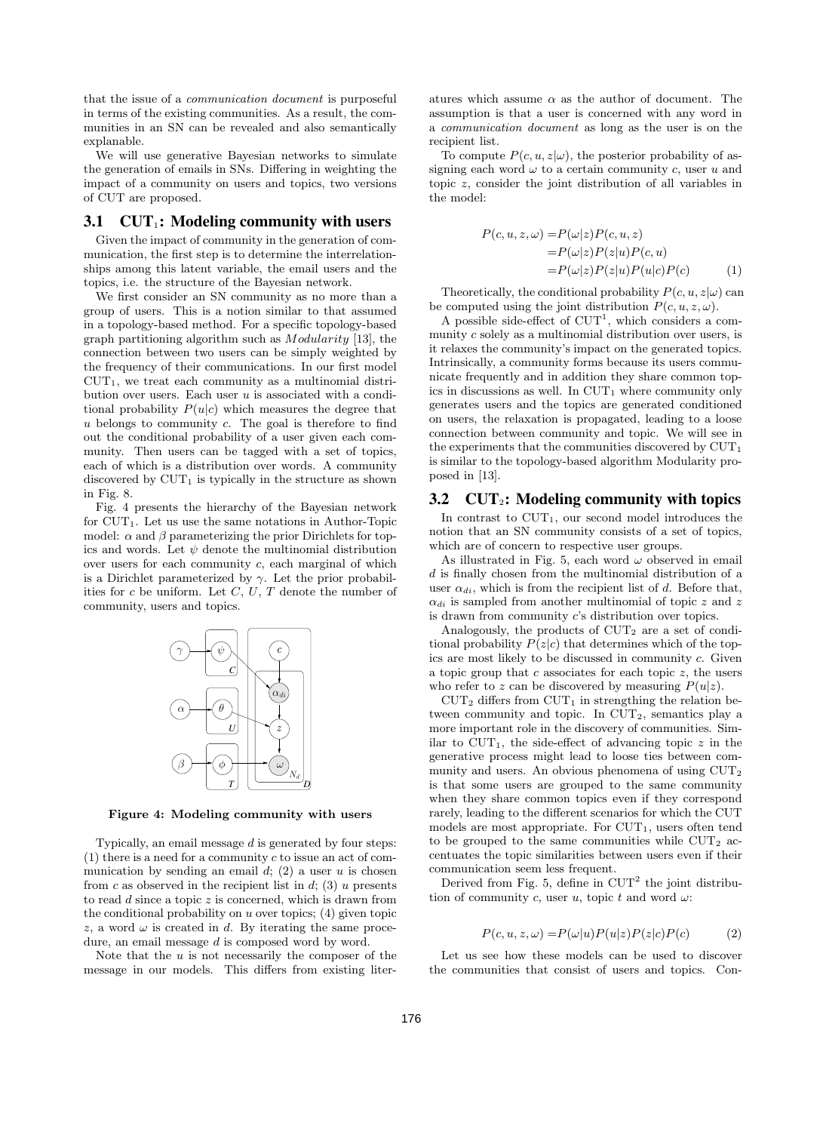that the issue of a communication document is purposeful in terms of the existing communities. As a result, the communities in an SN can be revealed and also semantically explanable.

We will use generative Bayesian networks to simulate the generation of emails in SNs. Differing in weighting the impact of a community on users and topics, two versions of CUT are proposed.

### **3.1 CUT**1**: Modeling community with users**

Given the impact of community in the generation of communication, the first step is to determine the interrelationships among this latent variable, the email users and the topics, i.e. the structure of the Bayesian network.

We first consider an SN community as no more than a group of users. This is a notion similar to that assumed in a topology-based method. For a specific topology-based graph partitioning algorithm such as  $Modularity$  [13], the connection between two users can be simply weighted by the frequency of their communications. In our first model  $CUT_1$ , we treat each community as a multinomial distribution over users. Each user  $u$  is associated with a conditional probability  $P(u|c)$  which measures the degree that u belongs to community  $c$ . The goal is therefore to find out the conditional probability of a user given each community. Then users can be tagged with a set of topics, each of which is a distribution over words. A community discovered by  $CUT_1$  is typically in the structure as shown in Fig. 8.

Fig. 4 presents the hierarchy of the Bayesian network for  $CUT_1$ . Let us use the same notations in Author-Topic model:  $\alpha$  and  $\beta$  parameterizing the prior Dirichlets for topics and words. Let  $\psi$  denote the multinomial distribution over users for each community c, each marginal of which is a Dirichlet parameterized by  $\gamma$ . Let the prior probabilities for c be uniform. Let  $C, U, T$  denote the number of community, users and topics.



Figure 4: Modeling community with users

Typically, an email message  $d$  is generated by four steps:  $(1)$  there is a need for a community c to issue an act of communication by sending an email  $d$ ; (2) a user u is chosen from c as observed in the recipient list in  $d$ ; (3) u presents to read  $d$  since a topic  $z$  is concerned, which is drawn from the conditional probability on  $u$  over topics;  $(4)$  given topic z, a word  $\omega$  is created in d. By iterating the same procedure, an email message d is composed word by word.

Note that the  $u$  is not necessarily the composer of the message in our models. This differs from existing literatures which assume  $\alpha$  as the author of document. The assumption is that a user is concerned with any word in a communication document as long as the user is on the recipient list.

To compute  $P(c, u, z | \omega)$ , the posterior probability of assigning each word  $\omega$  to a certain community c, user u and topic z, consider the joint distribution of all variables in the model:

$$
P(c, u, z, \omega) = P(\omega|z)P(c, u, z)
$$
  
=  $P(\omega|z)P(z|u)P(c, u)$   
=  $P(\omega|z)P(z|u)P(u|c)P(c)$  (1)

Theoretically, the conditional probability  $P(c, u, z|\omega)$  can be computed using the joint distribution  $P(c, u, z, \omega)$ .

A possible side-effect of  $CUT<sup>1</sup>$ , which considers a community c solely as a multinomial distribution over users, is it relaxes the community's impact on the generated topics. Intrinsically, a community forms because its users communicate frequently and in addition they share common topics in discussions as well. In  $CUT_1$  where community only generates users and the topics are generated conditioned on users, the relaxation is propagated, leading to a loose connection between community and topic. We will see in the experiments that the communities discovered by  $CUT_1$ is similar to the topology-based algorithm Modularity proposed in [13].

## **3.2 CUT**2**: Modeling community with topics**

In contrast to  $CUT_1$ , our second model introduces the notion that an SN community consists of a set of topics, which are of concern to respective user groups.

As illustrated in Fig. 5, each word  $\omega$  observed in email  $d$  is finally chosen from the multinomial distribution of a user  $\alpha_{di}$ , which is from the recipient list of d. Before that,  $\alpha_{di}$  is sampled from another multinomial of topic z and z is drawn from community c's distribution over topics.

Analogously, the products of  $CUT_2$  are a set of conditional probability  $P(z|c)$  that determines which of the topics are most likely to be discussed in community c. Given a topic group that  $c$  associates for each topic  $z$ , the users who refer to z can be discovered by measuring  $P(u|z)$ .

 $CUT_2$  differs from  $CUT_1$  in strengthing the relation between community and topic. In  $CUT_2$ , semantics play a more important role in the discovery of communities. Similar to  $CUT_1$ , the side-effect of advancing topic z in the generative process might lead to loose ties between community and users. An obvious phenomena of using CUT<sup>2</sup> is that some users are grouped to the same community when they share common topics even if they correspond rarely, leading to the different scenarios for which the CUT models are most appropriate. For  $CUT_1$ , users often tend to be grouped to the same communities while  $CUT_2$  accentuates the topic similarities between users even if their communication seem less frequent.

Derived from Fig. 5, define in  $CUT^2$  the joint distribution of community c, user u, topic t and word  $\omega$ :

$$
P(c, u, z, \omega) = P(\omega|u)P(u|z)P(z|c)P(c)
$$
 (2)

Let us see how these models can be used to discover the communities that consist of users and topics. Con-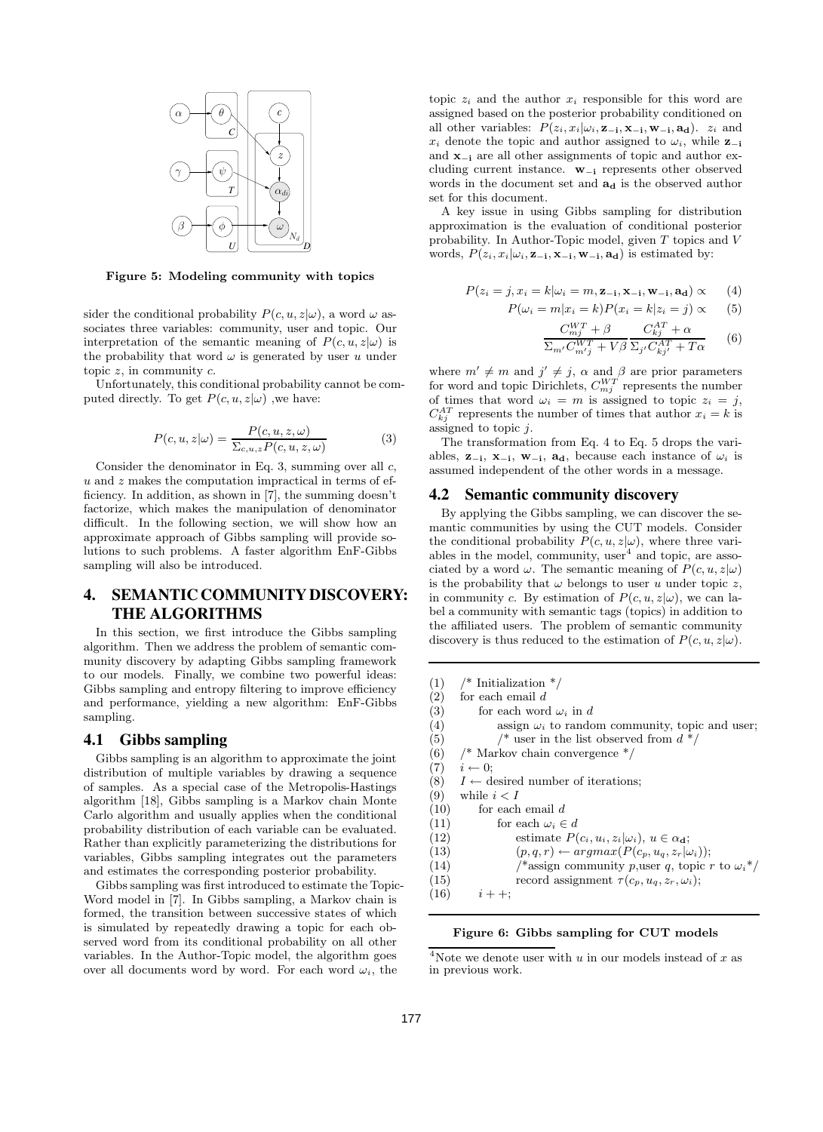

Figure 5: Modeling community with topics

sider the conditional probability  $P(c, u, z | \omega)$ , a word  $\omega$  associates three variables: community, user and topic. Our interpretation of the semantic meaning of  $P(c, u, z | \omega)$  is the probability that word  $\omega$  is generated by user u under topic  $z$ , in community  $c$ .

Unfortunately, this conditional probability cannot be computed directly. To get  $P(c, u, z|\omega)$ , we have:

$$
P(c, u, z | \omega) = \frac{P(c, u, z, \omega)}{\Sigma_{c, u, z} P(c, u, z, \omega)}
$$
(3)

Consider the denominator in Eq. 3, summing over all  $c$ ,  $u$  and  $z$  makes the computation impractical in terms of efficiency. In addition, as shown in [7], the summing doesn't factorize, which makes the manipulation of denominator difficult. In the following section, we will show how an approximate approach of Gibbs sampling will provide solutions to such problems. A faster algorithm EnF-Gibbs sampling will also be introduced.

# **4. SEMANTIC COMMUNITY DISCOVERY: THE ALGORITHMS**

In this section, we first introduce the Gibbs sampling algorithm. Then we address the problem of semantic community discovery by adapting Gibbs sampling framework to our models. Finally, we combine two powerful ideas: Gibbs sampling and entropy filtering to improve efficiency and performance, yielding a new algorithm: EnF-Gibbs sampling.

#### **4.1 Gibbs sampling**

Gibbs sampling is an algorithm to approximate the joint distribution of multiple variables by drawing a sequence of samples. As a special case of the Metropolis-Hastings algorithm [18], Gibbs sampling is a Markov chain Monte Carlo algorithm and usually applies when the conditional probability distribution of each variable can be evaluated. Rather than explicitly parameterizing the distributions for variables, Gibbs sampling integrates out the parameters and estimates the corresponding posterior probability.

Gibbs sampling was first introduced to estimate the Topic-Word model in [7]. In Gibbs sampling, a Markov chain is formed, the transition between successive states of which is simulated by repeatedly drawing a topic for each observed word from its conditional probability on all other variables. In the Author-Topic model, the algorithm goes over all documents word by word. For each word  $\omega_i$ , the

topic  $z_i$  and the author  $x_i$  responsible for this word are assigned based on the posterior probability conditioned on all other variables:  $P(z_i, x_i|\omega_i, \mathbf{z}_{-i}, \mathbf{x}_{-i}, \mathbf{w}_{-i}, \mathbf{a_d})$ .  $z_i$  and  $x_i$  denote the topic and author assigned to  $\omega_i$ , while  $z_{-i}$ and x<sup>−</sup><sup>i</sup> are all other assignments of topic and author excluding current instance. w<sup>−</sup><sup>i</sup> represents other observed words in the document set and  $a_d$  is the observed author set for this document.

A key issue in using Gibbs sampling for distribution approximation is the evaluation of conditional posterior probability. In Author-Topic model, given T topics and V words,  $P(z_i, x_i|\omega_i, \mathbf{z}_{-i}, \mathbf{x}_{-i}, \mathbf{w}_{-i}, \mathbf{a_d})$  is estimated by:

$$
P(z_i = j, x_i = k | \omega_i = m, \mathbf{z}_{-i}, \mathbf{x}_{-i}, \mathbf{w}_{-i}, \mathbf{a}_d) \propto (4)
$$

$$
P(\omega_i = m | x_i = k) P(x_i = k | z_i = j) \propto (5)
$$

$$
\frac{C_{mj}^{WT} + \beta}{\Sigma_{m'} C_{mj}^{WT} + V\beta} \frac{C_{kj}^{AT} + \alpha}{\Sigma_{j'} C_{kj'}^{AT} + T\alpha}
$$
 (6)

where  $m' \neq m$  and  $j' \neq j$ ,  $\alpha$  and  $\beta$  are prior parameters for word and topic Dirichlets,  $C_{mj}^{WT}$  represents the number of times that word  $\omega_i = m$  is assigned to topic  $z_i = j$ ,  $C_{kj}^{AT}$  represents the number of times that author  $x_i = k$  is assigned to topic j.

The transformation from Eq. 4 to Eq. 5 drops the variables,  $z_{-i}$ ,  $x_{-i}$ ,  $w_{-i}$ ,  $a_d$ , because each instance of  $\omega_i$  is assumed independent of the other words in a message.

#### **4.2 Semantic community discovery**

By applying the Gibbs sampling, we can discover the semantic communities by using the CUT models. Consider the conditional probability  $P(c, u, z | \omega)$ , where three variables in the model, community, user  $4$  and topic, are associated by a word  $\omega$ . The semantic meaning of  $P(c, u, z|\omega)$ is the probability that  $\omega$  belongs to user u under topic z, in community c. By estimation of  $P(c, u, z|\omega)$ , we can label a community with semantic tags (topics) in addition to the affiliated users. The problem of semantic community discovery is thus reduced to the estimation of  $P(c, u, z|\omega)$ .

- $(1)$  /\* Initialization \*/
- $(2)$  for each email d
- (3) for each word  $\omega_i$  in d
- (4) assign  $\omega_i$  to random community, topic and user;
- (5)  $\frac{1}{2}$  /\* user in the list observed from  $d \cdot \frac{1}{2}$
- (6) /\* Markov chain convergence \*/
- $(7)$   $i \leftarrow 0;$
- (8)  $I \leftarrow$  desired number of iterations;
- (9) while  $i < I$
- $(10)$  for each email d
- (11) for each  $\omega_i \in d$
- (12) estimate  $P(c_i, u_i, z_i | \omega_i)$ ,  $u \in \alpha_{\mathbf{d}};$

(13)  $(p, q, r) \leftarrow argmax(P(c_p, u_q, z_r | \omega_i));$ 

- (14)  $\qquad$  /\*assign community p, user q, topic r to  $\omega_i^*$ /
- (15) record assignment  $\tau(c_p, u_q, z_r, \omega_i);$
- $(16)$   $i + +$ ;

### Figure 6: Gibbs sampling for CUT models

<sup>&</sup>lt;sup>4</sup>Note we denote user with  $u$  in our models instead of  $x$  as in previous work.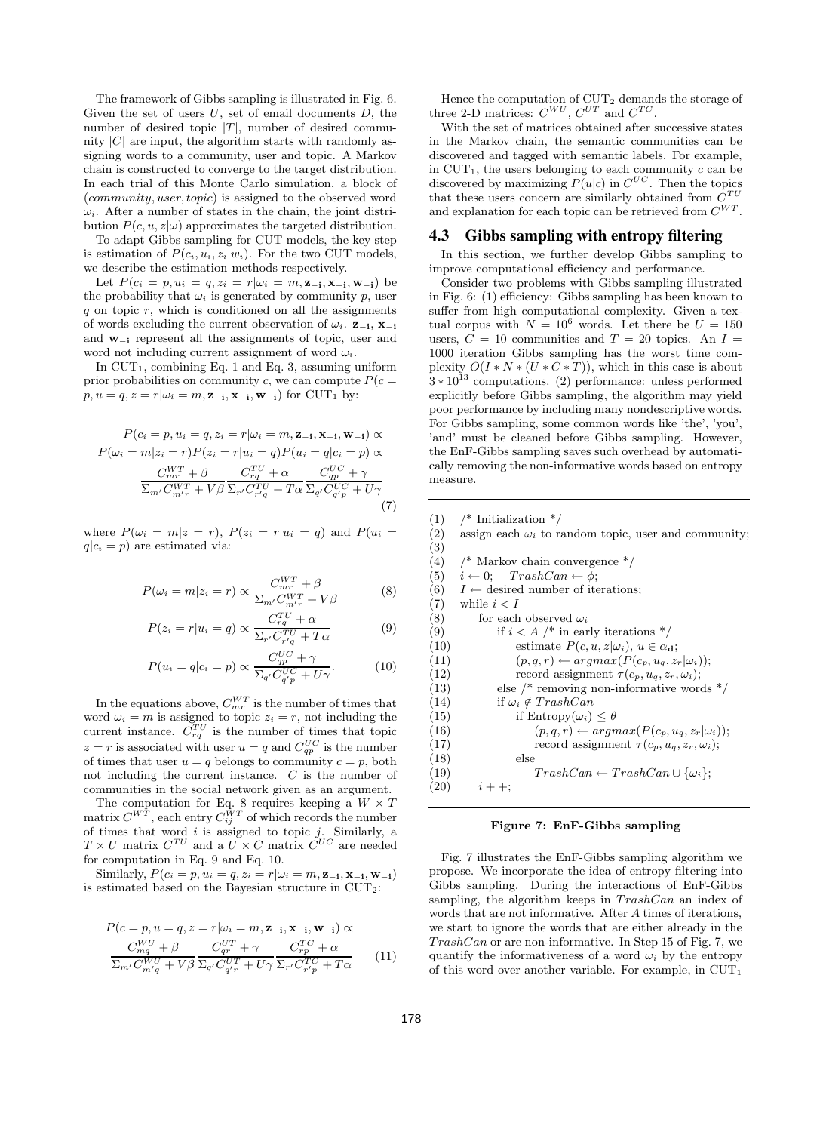The framework of Gibbs sampling is illustrated in Fig. 6. Given the set of users  $U$ , set of email documents  $D$ , the number of desired topic  $|T|$ , number of desired community  $|C|$  are input, the algorithm starts with randomly assigning words to a community, user and topic. A Markov chain is constructed to converge to the target distribution. In each trial of this Monte Carlo simulation, a block of (community, user,topic) is assigned to the observed word  $\omega_i$ . After a number of states in the chain, the joint distribution  $P(c, u, z|\omega)$  approximates the targeted distribution.

To adapt Gibbs sampling for CUT models, the key step is estimation of  $P(c_i, u_i, z_i|w_i)$ . For the two CUT models, we describe the estimation methods respectively.

Let  $P(c_i = p, u_i = q, z_i = r | \omega_i = m, \mathbf{z}_{-i}, \mathbf{x}_{-i}, \mathbf{w}_{-i})$  be the probability that  $\omega_i$  is generated by community p, user  $q$  on topic  $r$ , which is conditioned on all the assignments of words excluding the current observation of  $\omega_i$ . **z**<sub>−i</sub>, **x**<sub>−i</sub> and w<sup>−</sup><sup>i</sup> represent all the assignments of topic, user and word not including current assignment of word  $\omega_i$ .

In  $CUT_1$ , combining Eq. 1 and Eq. 3, assuming uniform prior probabilities on community c, we can compute  $P(c =$  $p, u = q, z = r | \omega_i = m, \mathbf{z}_{-i}, \mathbf{x}_{-i}, \mathbf{w}_{-i} |$  for CUT<sub>1</sub> by:

$$
P(c_i = p, u_i = q, z_i = r | \omega_i = m, \mathbf{z}_{-i}, \mathbf{x}_{-i}, \mathbf{w}_{-i}) \propto
$$
  
\n
$$
P(\omega_i = m | z_i = r) P(z_i = r | u_i = q) P(u_i = q | c_i = p) \propto
$$
  
\n
$$
\frac{C_{mr}^{WT} + \beta}{\sum_{m'} C_{m'r}^{WT} + V \beta} \frac{C_{rq}^{TU} + \alpha}{\sum_{r'} C_{r'q}^{IU} + T\alpha} \frac{C_{qp}^{UC} + \gamma}{\sum_{q'} C_{q'p}^{UC} + U\gamma}
$$
  
\n(7)

where  $P(\omega_i = m | z = r)$ ,  $P(z_i = r | u_i = q)$  and  $P(u_i = r)$  $q|c_i = p$  are estimated via:

$$
P(\omega_i = m | z_i = r) \propto \frac{C_{mr}^{WT} + \beta}{\Sigma_{m'} C_{m'r}^{WT} + V\beta}
$$
 (8)

$$
P(z_i = r | u_i = q) \propto \frac{C_{rq}^{TU} + \alpha}{\Sigma_{r'} C_{r'q}^{TU} + T\alpha}
$$
 (9)

$$
P(u_i = q | c_i = p) \propto \frac{C_{qp}^{UC} + \gamma}{\Sigma_{q'} C_{q'p}^{UC} + U\gamma}.
$$
 (10)

In the equations above,  $C_{mr}^{WT}$  is the number of times that word  $\omega_i = m$  is assigned to topic  $z_i = r$ , not including the current instance.  $C_{rq}^{TU}$  is the number of times that topic  $z = r$  is associated with user  $u = q$  and  $C_{qp}^{UC}$  is the number of times that user  $u = q$  belongs to community  $c = p$ , both not including the current instance. C is the number of communities in the social network given as an argument.

The computation for Eq. 8 requires keeping a  $W \times T$ matrix  $C^{WT},$  each entry  $C^{WT}_{ij}$  of which records the number of times that word  $i$  is assigned to topic  $j$ . Similarly, a  $T \times U$  matrix  $C^{TU}$  and a  $U \times C$  matrix  $C^{UC}$  are needed for computation in Eq. 9 and Eq. 10.

Similarly,  $P(c_i = p, u_i = q, z_i = r | \omega_i = m, \mathbf{z}_{-i}, \mathbf{x}_{-i}, \mathbf{w}_{-i})$ is estimated based on the Bayesian structure in  $\text{CUT}_2$ :

$$
P(c = p, u = q, z = r | \omega_i = m, \mathbf{z}_{-i}, \mathbf{x}_{-i}, \mathbf{w}_{-i}) \propto
$$

$$
\frac{C_{mq}^{WU} + \beta}{\sum_{m'} C_{m'q}^{WU} + V\beta} \frac{C_{qr}^{UT} + \gamma}{\sum_{q'} C_{q'r}^{UT} + U\gamma} \frac{C_{rp}^{TC} + \alpha}{\sum_{r'} C_{r'p}^{TC} + T\alpha}
$$
(11)

Hence the computation of  $CUT_2$  demands the storage of three 2-D matrices:  $C^{WU}$ ,  $C^{UT}$  and  $C^{TC}$ .

With the set of matrices obtained after successive states in the Markov chain, the semantic communities can be discovered and tagged with semantic labels. For example, in  $CUT_1$ , the users belonging to each community  $c$  can be discovered by maximizing  $P(u|c)$  in  $C^{UC}$ . Then the topics<br>that these users concern are similarly obtained from  $C^{TU}$ that these users concern are similarly obtained from  $\tilde{C}$ and explanation for each topic can be retrieved from  $C^{WT}$ .

#### **4.3 Gibbs sampling with entropy filtering**

In this section, we further develop Gibbs sampling to improve computational efficiency and performance.

Consider two problems with Gibbs sampling illustrated in Fig. 6: (1) efficiency: Gibbs sampling has been known to suffer from high computational complexity. Given a textual corpus with  $N = 10^6$  words. Let there be  $U = 150$ users,  $C = 10$  communities and  $T = 20$  topics. An  $I =$ 1000 iteration Gibbs sampling has the worst time complexity  $O(I*N*(U*C*T))$ , which in this case is about  $3*10^{13}$  computations. (2) performance: unless performed explicitly before Gibbs sampling, the algorithm may yield poor performance by including many nondescriptive words. For Gibbs sampling, some common words like 'the', 'you', 'and' must be cleaned before Gibbs sampling. However, the EnF-Gibbs sampling saves such overhead by automatically removing the non-informative words based on entropy measure.

- $(1)$  /\* Initialization \*/
- (2) assign each  $\omega_i$  to random topic, user and community;
- (3) (4) /\* Markov chain convergence \*/
- 
- (5)  $i \leftarrow 0;$  TrashCan  $\leftarrow \phi;$
- (6)  $I \leftarrow$  desired number of iterations;
- (7) while  $i < I$

| (8)  | for each observed $\omega_i$                                |
|------|-------------------------------------------------------------|
| (9)  | if $i < A$ /* in early iterations */                        |
| (10) | estimate $P(c, u, z   \omega_i), u \in \alpha_d;$           |
| (11) | $(p, q, r) \leftarrow argmax(P(c_n, u_q, z_r   \omega_i));$ |
| (12) | record assignment $\tau(c_n, u_a, z_r, \omega_i);$          |
| (13) | else /* removing non-informative words $*/$                 |
| (14) | if $\omega_i \notin TrashCan$                               |
| (15) | if Entropy $(\omega_i) \leq \theta$                         |
| (16) | $(p, q, r) \leftarrow argmax(P(c_p, u_q, z_r   \omega_i));$ |
| (17) | record assignment $\tau(c_p, u_q, z_r, \omega_i);$          |
| (18) | else                                                        |
| (19) | $TrashCan \leftarrow TrashCan \cup {\omega_i};$             |
| (20) | $i++$                                                       |
|      |                                                             |

#### Figure 7: EnF-Gibbs sampling

Fig. 7 illustrates the EnF-Gibbs sampling algorithm we propose. We incorporate the idea of entropy filtering into Gibbs sampling. During the interactions of EnF-Gibbs sampling, the algorithm keeps in  $TranshCan$  an index of words that are not informative. After A times of iterations, we start to ignore the words that are either already in the  $TrashCan$  or are non-informative. In Step 15 of Fig. 7, we quantify the informativeness of a word  $\omega_i$  by the entropy of this word over another variable. For example, in  $\text{CUT}_1$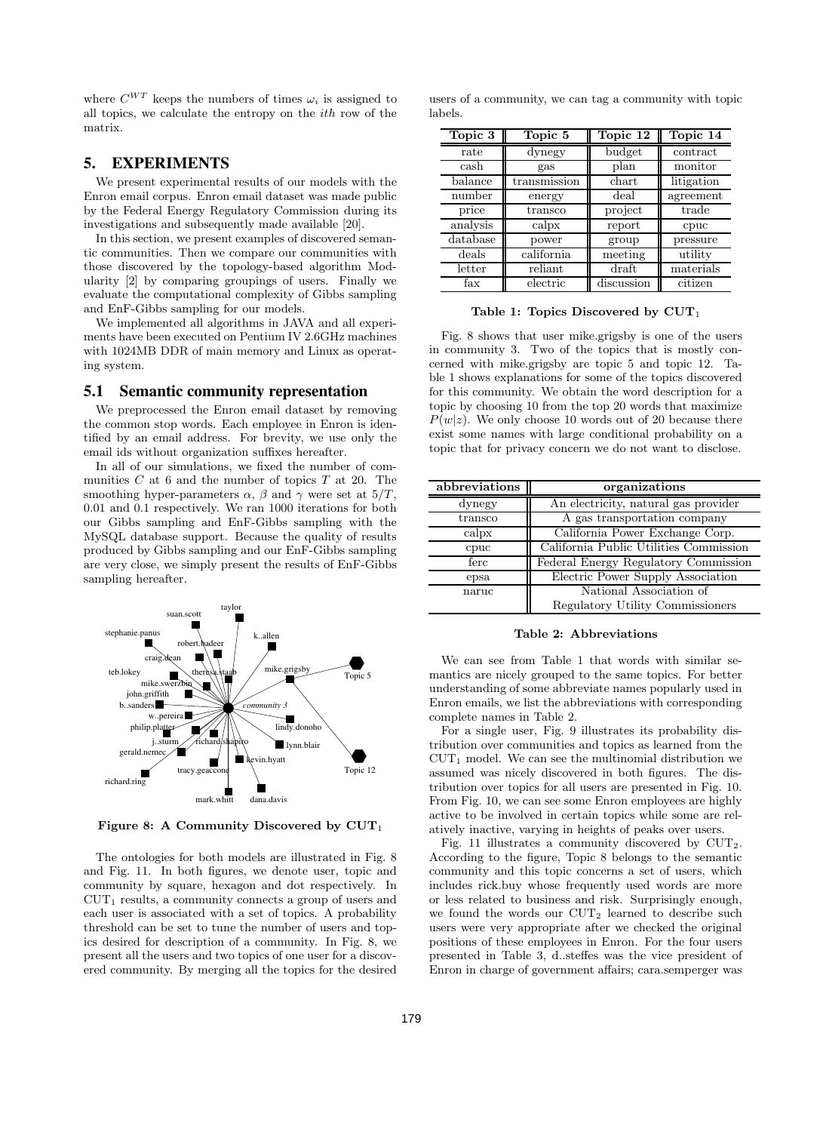where  $C^{WT}$  keeps the numbers of times  $\omega_i$  is assigned to all topics, we calculate the entropy on the ith row of the matrix.

## **5. EXPERIMENTS**

We present experimental results of our models with the Enron email corpus. Enron email dataset was made public by the Federal Energy Regulatory Commission during its investigations and subsequently made available [20].

In this section, we present examples of discovered semantic communities. Then we compare our communities with those discovered by the topology-based algorithm Modularity [2] by comparing groupings of users. Finally we evaluate the computational complexity of Gibbs sampling and EnF-Gibbs sampling for our models.

We implemented all algorithms in JAVA and all experiments have been executed on Pentium IV 2.6GHz machines with 1024MB DDR of main memory and Linux as operating system.

#### **5.1 Semantic community representation**

We preprocessed the Enron email dataset by removing the common stop words. Each employee in Enron is identified by an email address. For brevity, we use only the email ids without organization suffixes hereafter.

In all of our simulations, we fixed the number of communities  $C$  at 6 and the number of topics  $T$  at 20. The smoothing hyper-parameters  $\alpha$ ,  $\beta$  and  $\gamma$  were set at  $5/T$ , 0.01 and 0.1 respectively. We ran 1000 iterations for both our Gibbs sampling and EnF-Gibbs sampling with the MySQL database support. Because the quality of results produced by Gibbs sampling and our EnF-Gibbs sampling are very close, we simply present the results of EnF-Gibbs sampling hereafter.



Figure 8: A Community Discovered by  $CUT_1$ 

The ontologies for both models are illustrated in Fig. 8 and Fig. 11. In both figures, we denote user, topic and community by square, hexagon and dot respectively. In  $CUT_1$  results, a community connects a group of users and each user is associated with a set of topics. A probability threshold can be set to tune the number of users and topics desired for description of a community. In Fig. 8, we present all the users and two topics of one user for a discovered community. By merging all the topics for the desired

users of a community, we can tag a community with topic labels.

| Topic 3          | Topic 5      | Topic 12   | Topic 14   |
|------------------|--------------|------------|------------|
| rate             | dynegy       | budget     | contract   |
| cash             | gas          | plan       | monitor    |
| $_{\rm balance}$ | transmission | chart      | litigation |
| number           | energy       | deal       | agreement  |
| price            | transco      | project    | trade      |
| analysis         | calpx        | report     | cpuc       |
| database         | power        | group      | pressure   |
| deals            | california   | meeting    | utility    |
| letter           | reliant      | draft      | materials  |
| fax              | electric     | discussion | citizen    |

Table 1: Topics Discovered by  $CUT_1$ 

Fig. 8 shows that user mike.grigsby is one of the users in community 3. Two of the topics that is mostly concerned with mike.grigsby are topic 5 and topic 12. Table 1 shows explanations for some of the topics discovered for this community. We obtain the word description for a topic by choosing 10 from the top 20 words that maximize  $P(w|z)$ . We only choose 10 words out of 20 because there exist some names with large conditional probability on a topic that for privacy concern we do not want to disclose.

| abbreviations | organizations                          |
|---------------|----------------------------------------|
| dynegy        | An electricity, natural gas provider   |
| transco       | A gas transportation company           |
| calpx         | California Power Exchange Corp.        |
| cpuc          | California Public Utilities Commission |
| ferc          | Federal Energy Regulatory Commission   |
| epsa          | Electric Power Supply Association      |
| naruc         | National Association of                |
|               | Regulatory Utility Commissioners       |

Table 2: Abbreviations

We can see from Table 1 that words with similar semantics are nicely grouped to the same topics. For better understanding of some abbreviate names popularly used in Enron emails, we list the abbreviations with corresponding complete names in Table 2.

For a single user, Fig. 9 illustrates its probability distribution over communities and topics as learned from the  $CUT_1$  model. We can see the multinomial distribution we assumed was nicely discovered in both figures. The distribution over topics for all users are presented in Fig. 10. From Fig. 10, we can see some Enron employees are highly active to be involved in certain topics while some are relatively inactive, varying in heights of peaks over users.

Fig. 11 illustrates a community discovered by  $CUT_2$ . According to the figure, Topic 8 belongs to the semantic community and this topic concerns a set of users, which includes rick.buy whose frequently used words are more or less related to business and risk. Surprisingly enough, we found the words our  $CUT_2$  learned to describe such users were very appropriate after we checked the original positions of these employees in Enron. For the four users presented in Table 3, d..steffes was the vice president of Enron in charge of government affairs; cara.semperger was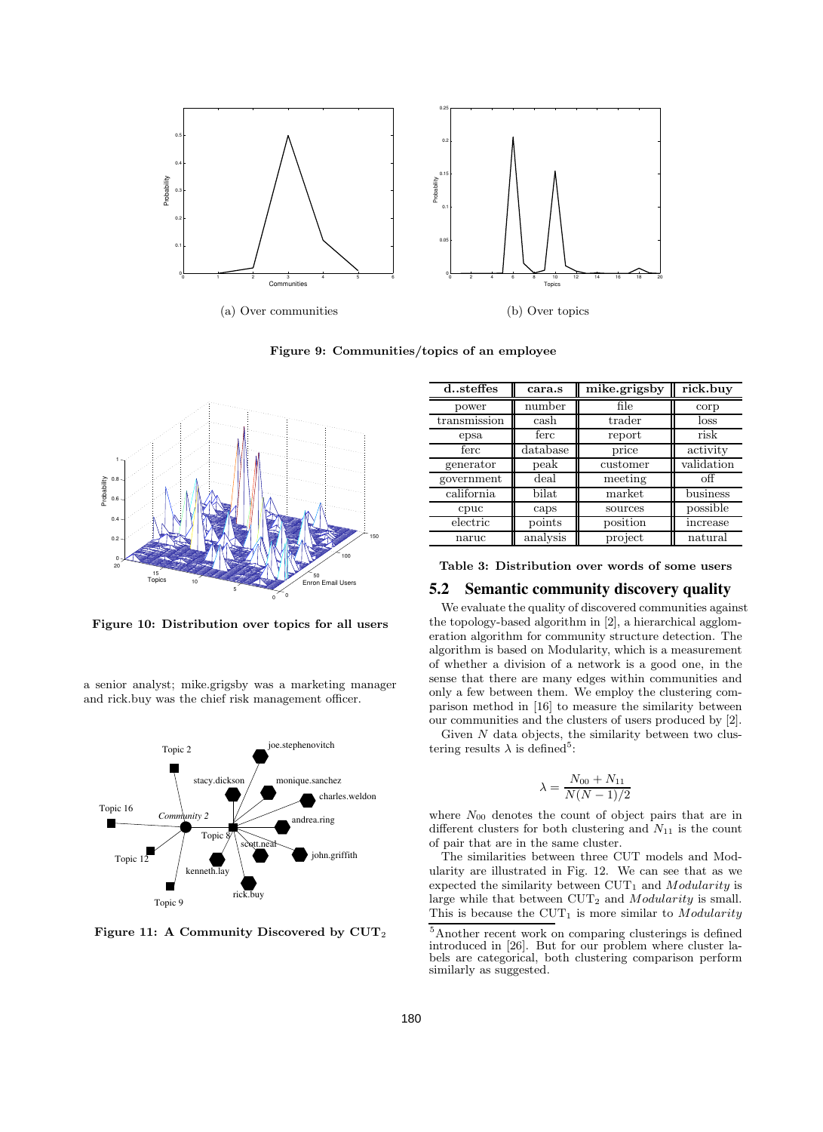

Figure 9: Communities/topics of an employee



Figure 10: Distribution over topics for all users

a senior analyst; mike.grigsby was a marketing manager and rick.buy was the chief risk management officer.



Figure 11: A Community Discovered by CUT<sup>2</sup>

| dsteffes     | cara.s          | mike.grigsby | rick.buy      |
|--------------|-----------------|--------------|---------------|
| power        | number          | file         | corp          |
| transmission | cash            | trader       | loss          |
| epsa         | ferc            | report       | risk          |
| ferc         | database        | price        | activity      |
| generator    | peak            | customer     | validation    |
| government   | deal            | meeting      | оff           |
| california   | $_{\rm{bilat}}$ | market       | $\frac{1}{2}$ |
| cpuc         | caps            | sources      | possible      |
| electric     | points          | position     | increase      |
| naruc        | analysis        | project      | natural       |

Table 3: Distribution over words of some users

## **5.2 Semantic community discovery quality**

We evaluate the quality of discovered communities against the topology-based algorithm in [2], a hierarchical agglomeration algorithm for community structure detection. The algorithm is based on Modularity, which is a measurement of whether a division of a network is a good one, in the sense that there are many edges within communities and only a few between them. We employ the clustering comparison method in [16] to measure the similarity between our communities and the clusters of users produced by [2].

Given  $N$  data objects, the similarity between two clustering results  $\lambda$  is defined<sup>5</sup>:

$$
\lambda = \frac{N_{00} + N_{11}}{N(N-1)/2}
$$

where  $N_{00}$  denotes the count of object pairs that are in different clusters for both clustering and  $N_{11}$  is the count of pair that are in the same cluster.

The similarities between three CUT models and Modularity are illustrated in Fig. 12. We can see that as we expected the similarity between  $CUT_1$  and  $Modularity$  is large while that between CUT<sup>2</sup> and Modularity is small. This is because the  $CUT_1$  is more similar to Modularity

<sup>5</sup>Another recent work on comparing clusterings is defined introduced in [26]. But for our problem where cluster labels are categorical, both clustering comparison perform similarly as suggested.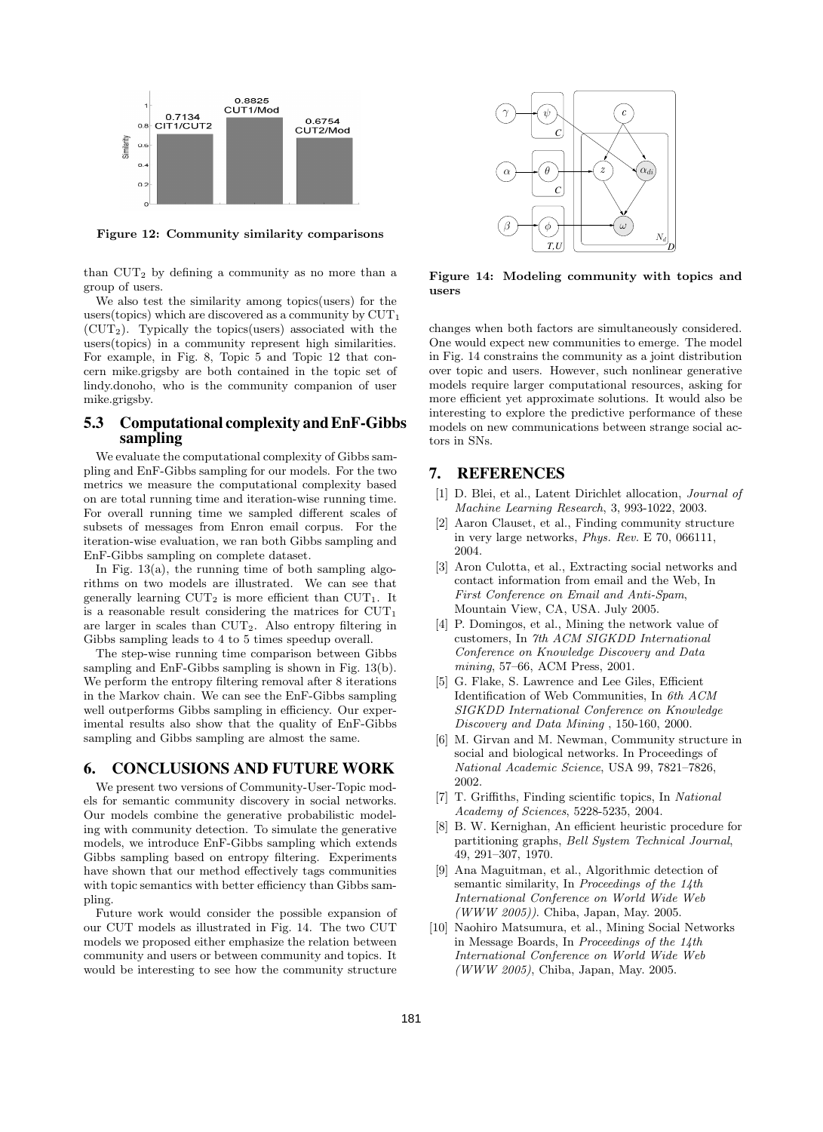

Figure 12: Community similarity comparisons

than  $\text{CUT}_2$  by defining a community as no more than a group of users.

We also test the similarity among topics(users) for the users(topics) which are discovered as a community by  $\text{CUT}_1$ (CUT2). Typically the topics(users) associated with the users(topics) in a community represent high similarities. For example, in Fig. 8, Topic 5 and Topic 12 that concern mike.grigsby are both contained in the topic set of lindy.donoho, who is the community companion of user mike.grigsby.

### **5.3 Computational complexity andEnF-Gibbs sampling**

We evaluate the computational complexity of Gibbs sampling and EnF-Gibbs sampling for our models. For the two metrics we measure the computational complexity based on are total running time and iteration-wise running time. For overall running time we sampled different scales of subsets of messages from Enron email corpus. For the iteration-wise evaluation, we ran both Gibbs sampling and EnF-Gibbs sampling on complete dataset.

In Fig.  $13(a)$ , the running time of both sampling algorithms on two models are illustrated. We can see that generally learning  $\text{CUT}_2$  is more efficient than  $\text{CUT}_1$ . It is a reasonable result considering the matrices for  $\text{CUT}_1$ are larger in scales than CUT2. Also entropy filtering in Gibbs sampling leads to 4 to 5 times speedup overall.

The step-wise running time comparison between Gibbs sampling and EnF-Gibbs sampling is shown in Fig. 13(b). We perform the entropy filtering removal after 8 iterations in the Markov chain. We can see the EnF-Gibbs sampling well outperforms Gibbs sampling in efficiency. Our experimental results also show that the quality of EnF-Gibbs sampling and Gibbs sampling are almost the same.

# **6. CONCLUSIONS AND FUTURE WORK**

We present two versions of Community-User-Topic models for semantic community discovery in social networks. Our models combine the generative probabilistic modeling with community detection. To simulate the generative models, we introduce EnF-Gibbs sampling which extends Gibbs sampling based on entropy filtering. Experiments have shown that our method effectively tags communities with topic semantics with better efficiency than Gibbs sampling.

Future work would consider the possible expansion of our CUT models as illustrated in Fig. 14. The two CUT models we proposed either emphasize the relation between community and users or between community and topics. It would be interesting to see how the community structure



Figure 14: Modeling community with topics and users

changes when both factors are simultaneously considered. One would expect new communities to emerge. The model in Fig. 14 constrains the community as a joint distribution over topic and users. However, such nonlinear generative models require larger computational resources, asking for more efficient yet approximate solutions. It would also be interesting to explore the predictive performance of these models on new communications between strange social actors in SNs.

# **7. REFERENCES**

- [1] D. Blei, et al., Latent Dirichlet allocation, Journal of Machine Learning Research, 3, 993-1022, 2003.
- [2] Aaron Clauset, et al., Finding community structure in very large networks, Phys. Rev. E 70, 066111, 2004.
- [3] Aron Culotta, et al., Extracting social networks and contact information from email and the Web, In First Conference on Email and Anti-Spam, Mountain View, CA, USA. July 2005.
- [4] P. Domingos, et al., Mining the network value of customers, In 7th ACM SIGKDD International Conference on Knowledge Discovery and Data mining, 57–66, ACM Press, 2001.
- [5] G. Flake, S. Lawrence and Lee Giles, Efficient Identification of Web Communities, In 6th ACM SIGKDD International Conference on Knowledge Discovery and Data Mining , 150-160, 2000.
- [6] M. Girvan and M. Newman, Community structure in social and biological networks. In Proceedings of National Academic Science, USA 99, 7821–7826, 2002.
- [7] T. Griffiths, Finding scientific topics, In National Academy of Sciences, 5228-5235, 2004.
- [8] B. W. Kernighan, An efficient heuristic procedure for partitioning graphs, Bell System Technical Journal, 49, 291–307, 1970.
- [9] Ana Maguitman, et al., Algorithmic detection of semantic similarity, In Proceedings of the 14th International Conference on World Wide Web (WWW 2005)). Chiba, Japan, May. 2005.
- [10] Naohiro Matsumura, et al., Mining Social Networks in Message Boards, In Proceedings of the  $14$ th International Conference on World Wide Web (WWW 2005), Chiba, Japan, May. 2005.